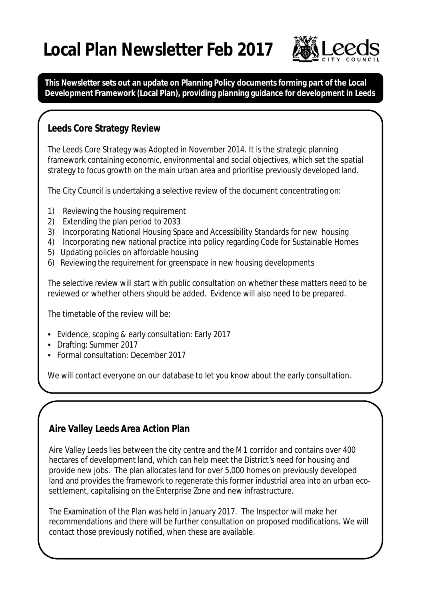# **Local Plan Newsletter Feb 2017**



**This Newsletter sets out an update on Planning Policy documents forming part of the Local Development Framework (Local Plan), providing planning guidance for development in Leeds**

## **Leeds Core Strategy Review**

The Leeds Core Strategy was Adopted in November 2014. It is the strategic planning framework containing economic, environmental and social objectives, which set the spatial strategy to focus growth on the main urban area and prioritise previously developed land.

The City Council is undertaking a selective review of the document concentrating on:

- 1) Reviewing the housing requirement
- 2) Extending the plan period to 2033
- 3) Incorporating National Housing Space and Accessibility Standards for new housing
- 4) Incorporating new national practice into policy regarding Code for Sustainable Homes
- 5) Updating policies on affordable housing
- 6) Reviewing the requirement for greenspace in new housing developments

The selective review will start with public consultation on whether these matters need to be reviewed or whether others should be added. Evidence will also need to be prepared.

The timetable of the review will be:

- Evidence, scoping & early consultation: Early 2017
- Drafting: Summer 2017
- Formal consultation: December 2017

We will contact everyone on our database to let you know about the early consultation.

## **Aire Valley Leeds Area Action Plan**

Aire Valley Leeds lies between the city centre and the M1 corridor and contains over 400 hectares of development land, which can help meet the District's need for housing and provide new jobs. The plan allocates land for over 5,000 homes on previously developed land and provides the framework to regenerate this former industrial area into an urban ecosettlement, capitalising on the Enterprise Zone and new infrastructure.

The Examination of the Plan was held in January 2017. The Inspector will make her recommendations and there will be further consultation on proposed modifications. We will contact those previously notified, when these are available.